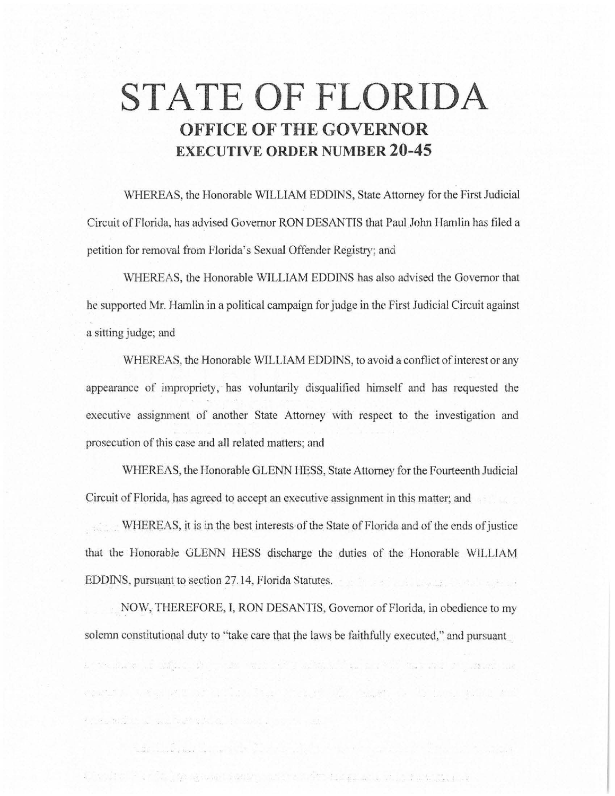## **STATE OF FLORIDA OFFICE OF THE GOVERNOR EXECUTIVE ORDER NUMBER 20-45**

WHEREAS, the Honorable WILLIAM EDDINS, State Attorney for the First Judicial Circuit of Florida, has advised Governor RON DESANTIS that Paul John Hamlin has filed a petition for removal from Florida's Sexual Offender Registry; and

WHEREAS, the Honorable WILLIAM EDDINS has also advised the Governor that he supported Mr. Hamlin in a political campaign for judge in the First Judicial Circuit against a sitting judge; and

WHEREAS, the Honorable WILLIAM EDDINS, to avoid a conflict of interest or any appearance of impropriety, has voluntarily disqualified himself and has requested the executive assignment of another State Attorney with respect to the investigation and prosecution of this case and all related matters; and

WHEREAS, the Honorable GLENN HESS, State Attorney for the Fourteenth Judicial Circuit of Florida, has agreed to accept an executive assignment in this matter; and

. WHEREAS, jt is in the best interests of the State of Florida and of the ends of justice that the Honorable GLENN HESS discharge the duties of the Honorable WILLIAM EDDINS, pursuant to section 27.14, Florida Statutes.

NOW, THEREFORE, I, RON DESANTIS, Governor of Florida, in obedience to my solemn constitutional duty to "take care that the laws be faithfully executed," and pursuant

a security of algorithm in the same of a state of the second contract of the second contract of

control when it is a finite state of a state of a set of the state of

Chronico Partido, quesa necesaria de la provincia de la partido de la caractería de la

the second control of the second control of the second control of the second control of the second control of the second control of the second control of the second control of the second control of the second control of th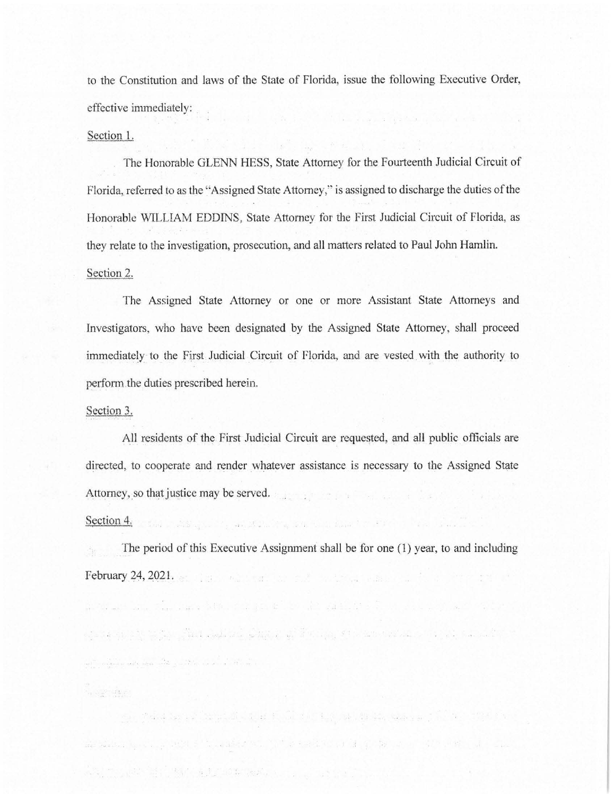to the Constitution and laws of the State of Florida, issue the following Executive Order, effective immediately:

## Section l.

The Honorable GLENN HESS, State Attorney for the Fourteenth Judicial Circuit of Florida, referred to as the ''Assigned State Attorney," is assigned to discharge the duties of the Honorable \VILLIAM EDDINS, State Attorney for the First Judicial Circuit of Florida, as they relate to the investigation, prosecution, and all matters related to Paul John Hamlin. Section 2.

The Assigned State Attorney or one or more Assistant State Attorneys and Investigators, who have been designated by the Assigned State Attorney, shall proceed immediately to the First Judicial Circuit of Florida, and are vested with the authority to perform.the duties prescribed herein.

## Section 3.

All residents of the First Judicial Circuit are requested, and all public officials are directed, to cooperate and render whatever assistance is necessary to the Assigned State Attorney, so that justice may be served.

## Section 4.

and the companion of the contract of the companion of the contract of the contract of the contract of the contract of the contract of the contract of the contract of the contract of the contract of the contract of the cont

An the space of the state of the second control of

The period of this Executive Assignment shall be for one (1) year, to and including **February 24, 2021.** The contraction of the contraction of the contraction of the contraction of the contraction

international classical resolution is added at the six of the start

where the collection of the complete settle of the collection of the collection of the collection of the collection

- 아래 : #14 Angle (2) : 14 Million (1) 14 Million (1) 14 Million (2) 14 Million (1) 14 Million (1) 1

me means for every still at the endersties. This are added to be a fact that the state of the state

and the second control of the second control of the second control of the second